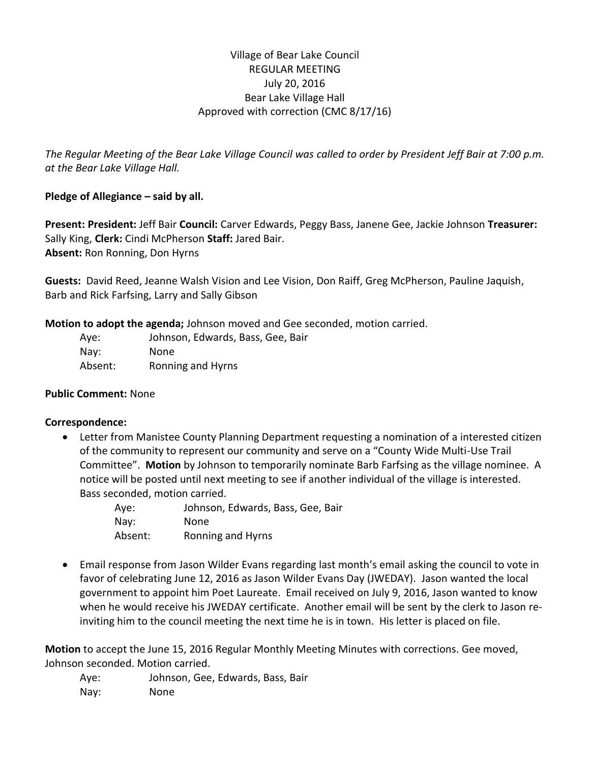# Village of Bear Lake Council REGULAR MEETING July 20, 2016 Bear Lake Village Hall Approved with correction (CMC 8/17/16)

*The Regular Meeting of the Bear Lake Village Council was called to order by President Jeff Bair at 7:00 p.m. at the Bear Lake Village Hall.*

## **Pledge of Allegiance – said by all.**

**Present: President:** Jeff Bair **Council:** Carver Edwards, Peggy Bass, Janene Gee, Jackie Johnson **Treasurer:**  Sally King, **Clerk:** Cindi McPherson **Staff:** Jared Bair. **Absent:** Ron Ronning, Don Hyrns

**Guests:** David Reed, Jeanne Walsh Vision and Lee Vision, Don Raiff, Greg McPherson, Pauline Jaquish, Barb and Rick Farfsing, Larry and Sally Gibson

**Motion to adopt the agenda;** Johnson moved and Gee seconded, motion carried.

| Aye:    | Johnson, Edwards, Bass, Gee, Bair |
|---------|-----------------------------------|
| Nay:    | None                              |
| Absent: | Ronning and Hyrns                 |

## **Public Comment:** None

#### **Correspondence:**

 Letter from Manistee County Planning Department requesting a nomination of a interested citizen of the community to represent our community and serve on a "County Wide Multi-Use Trail Committee". **Motion** by Johnson to temporarily nominate Barb Farfsing as the village nominee. A notice will be posted until next meeting to see if another individual of the village is interested. Bass seconded, motion carried.

| Aye:    | Johnson, Edwards, Bass, Gee, Bair |
|---------|-----------------------------------|
| Nay:    | <b>None</b>                       |
| Absent: | Ronning and Hyrns                 |

 Email response from Jason Wilder Evans regarding last month's email asking the council to vote in favor of celebrating June 12, 2016 as Jason Wilder Evans Day (JWEDAY). Jason wanted the local government to appoint him Poet Laureate. Email received on July 9, 2016, Jason wanted to know when he would receive his JWEDAY certificate. Another email will be sent by the clerk to Jason reinviting him to the council meeting the next time he is in town. His letter is placed on file.

**Motion** to accept the June 15, 2016 Regular Monthly Meeting Minutes with corrections. Gee moved, Johnson seconded. Motion carried.

Aye: Johnson, Gee, Edwards, Bass, Bair Nay: None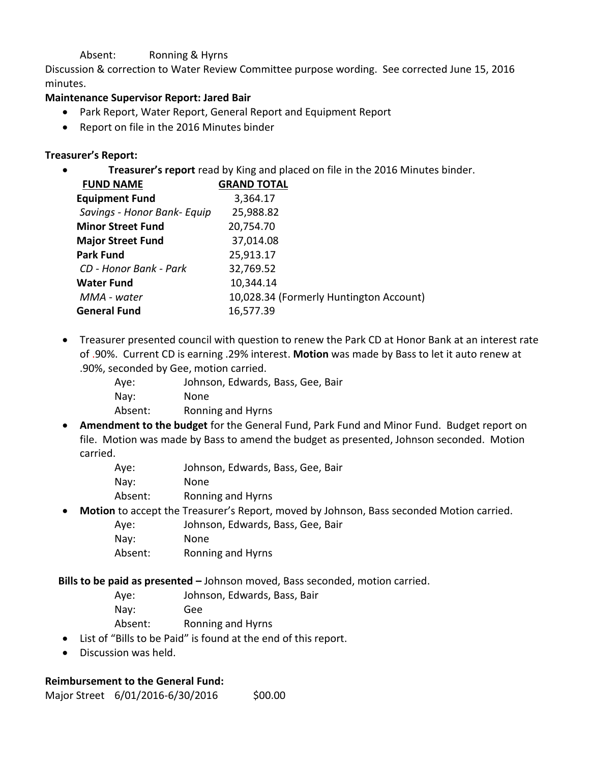### Absent: Ronning & Hyrns

Discussion & correction to Water Review Committee purpose wording. See corrected June 15, 2016 minutes.

### **Maintenance Supervisor Report: Jared Bair**

- Park Report, Water Report, General Report and Equipment Report
- Report on file in the 2016 Minutes binder

## **Treasurer's Report:**

**Treasurer's report** read by King and placed on file in the 2016 Minutes binder.

| <b>FUND NAME</b>            | <b>GRAND TOTAL</b> |                                         |
|-----------------------------|--------------------|-----------------------------------------|
| <b>Equipment Fund</b>       | 3,364.17           |                                         |
| Savings - Honor Bank- Equip | 25,988.82          |                                         |
| <b>Minor Street Fund</b>    | 20,754.70          |                                         |
| <b>Major Street Fund</b>    | 37,014.08          |                                         |
| <b>Park Fund</b>            | 25,913.17          |                                         |
| CD - Honor Bank - Park      | 32,769.52          |                                         |
| <b>Water Fund</b>           | 10,344.14          |                                         |
| MMA - water                 |                    | 10,028.34 (Formerly Huntington Account) |
| <b>General Fund</b>         | 16,577.39          |                                         |
|                             |                    |                                         |

- Treasurer presented council with question to renew the Park CD at Honor Bank at an interest rate of .90%. Current CD is earning .29% interest. **Motion** was made by Bass to let it auto renew at .90%, seconded by Gee, motion carried.
	- Aye: Johnson, Edwards, Bass, Gee, Bair Nay: None Absent: Ronning and Hyrns
- **Amendment to the budget** for the General Fund, Park Fund and Minor Fund. Budget report on file. Motion was made by Bass to amend the budget as presented, Johnson seconded. Motion carried.
	- Aye: Johnson, Edwards, Bass, Gee, Bair Nay: None Absent: Ronning and Hyrns
- **Motion** to accept the Treasurer's Report, moved by Johnson, Bass seconded Motion carried.
	- Aye: Johnson, Edwards, Bass, Gee, Bair
	- Nay: None
	- Absent: Ronning and Hyrns

**Bills to be paid as presented –** Johnson moved, Bass seconded, motion carried.

- Aye: Johnson, Edwards, Bass, Bair
- Nay: Gee
- Absent: Ronning and Hyrns
- List of "Bills to be Paid" is found at the end of this report.
- Discussion was held.

# **Reimbursement to the General Fund:**

Major Street 6/01/2016-6/30/2016 \$00.00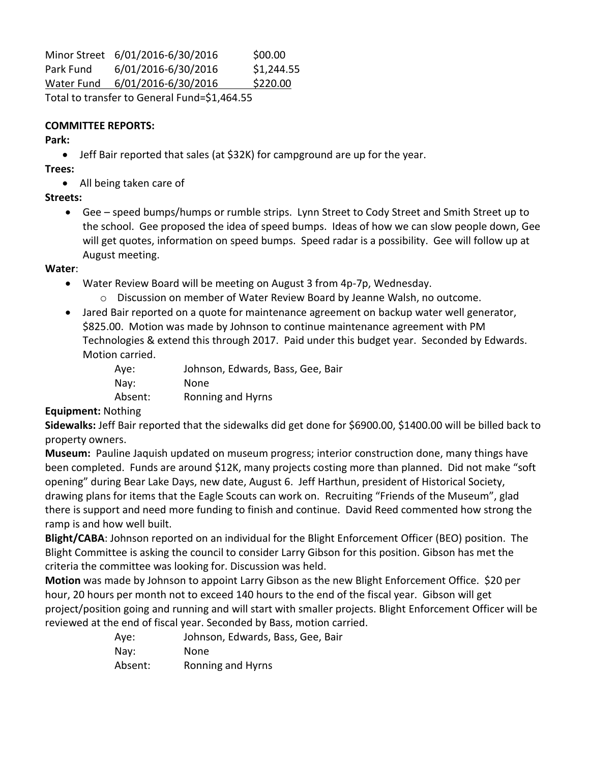Minor Street 6/01/2016-6/30/2016 \$00.00 Park Fund 6/01/2016-6/30/2016 \$1,244.55 Water Fund 6/01/2016-6/30/2016 \$220.00

Total to transfer to General Fund=\$1,464.55

#### **COMMITTEE REPORTS:**

**Park:** 

Jeff Bair reported that sales (at \$32K) for campground are up for the year.

**Trees:** 

• All being taken care of

## **Streets:**

 Gee – speed bumps/humps or rumble strips. Lynn Street to Cody Street and Smith Street up to the school. Gee proposed the idea of speed bumps. Ideas of how we can slow people down, Gee will get quotes, information on speed bumps. Speed radar is a possibility. Gee will follow up at August meeting.

**Water**:

- Water Review Board will be meeting on August 3 from 4p-7p, Wednesday.
	- o Discussion on member of Water Review Board by Jeanne Walsh, no outcome.
- Jared Bair reported on a quote for maintenance agreement on backup water well generator, \$825.00. Motion was made by Johnson to continue maintenance agreement with PM Technologies & extend this through 2017. Paid under this budget year. Seconded by Edwards. Motion carried.

| Aye:    | Johnson, Edwards, Bass, Gee, Bair |
|---------|-----------------------------------|
| Nay:    | None.                             |
| Absent: | Ronning and Hyrns                 |

## **Equipment:** Nothing

**Sidewalks:** Jeff Bair reported that the sidewalks did get done for \$6900.00, \$1400.00 will be billed back to property owners.

**Museum:** Pauline Jaquish updated on museum progress; interior construction done, many things have been completed. Funds are around \$12K, many projects costing more than planned. Did not make "soft opening" during Bear Lake Days, new date, August 6. Jeff Harthun, president of Historical Society, drawing plans for items that the Eagle Scouts can work on. Recruiting "Friends of the Museum", glad there is support and need more funding to finish and continue. David Reed commented how strong the ramp is and how well built.

**Blight/CABA**: Johnson reported on an individual for the Blight Enforcement Officer (BEO) position. The Blight Committee is asking the council to consider Larry Gibson for this position. Gibson has met the criteria the committee was looking for. Discussion was held.

**Motion** was made by Johnson to appoint Larry Gibson as the new Blight Enforcement Office. \$20 per hour, 20 hours per month not to exceed 140 hours to the end of the fiscal year. Gibson will get project/position going and running and will start with smaller projects. Blight Enforcement Officer will be reviewed at the end of fiscal year. Seconded by Bass, motion carried.

| Aye:    | Johnson, Edwards, Bass, Gee, Bair |
|---------|-----------------------------------|
| Nay:    | None                              |
| Absent: | Ronning and Hyrns                 |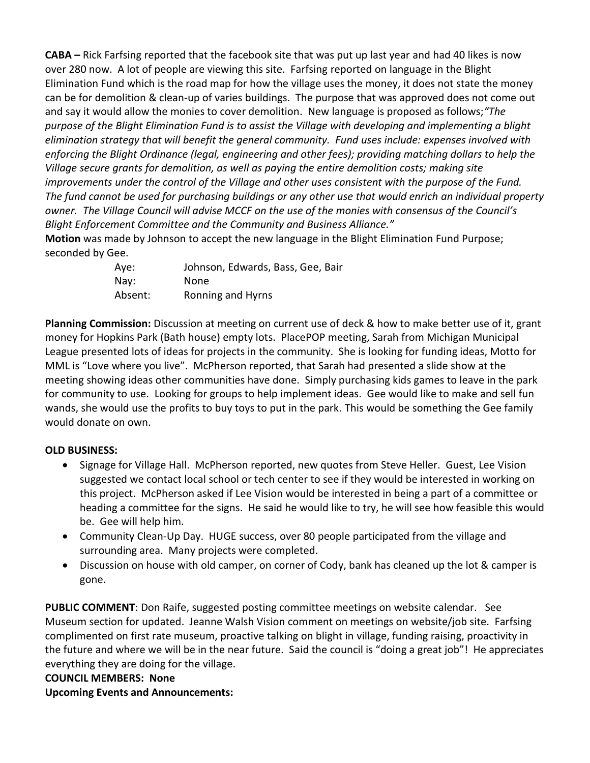**CABA –** Rick Farfsing reported that the facebook site that was put up last year and had 40 likes is now over 280 now. A lot of people are viewing this site. Farfsing reported on language in the Blight Elimination Fund which is the road map for how the village uses the money, it does not state the money can be for demolition & clean-up of varies buildings. The purpose that was approved does not come out and say it would allow the monies to cover demolition. New language is proposed as follows;*"The purpose of the Blight Elimination Fund is to assist the Village with developing and implementing a blight elimination strategy that will benefit the general community. Fund uses include: expenses involved with enforcing the Blight Ordinance (legal, engineering and other fees); providing matching dollars to help the Village secure grants for demolition, as well as paying the entire demolition costs; making site improvements under the control of the Village and other uses consistent with the purpose of the Fund. The fund cannot be used for purchasing buildings or any other use that would enrich an individual property owner. The Village Council will advise MCCF on the use of the monies with consensus of the Council's Blight Enforcement Committee and the Community and Business Alliance."*

**Motion** was made by Johnson to accept the new language in the Blight Elimination Fund Purpose; seconded by Gee.

| Aye:    | Johnson, Edwards, Bass, Gee, Bair |
|---------|-----------------------------------|
| Nay:    | None.                             |
| Absent: | Ronning and Hyrns                 |

**Planning Commission:** Discussion at meeting on current use of deck & how to make better use of it, grant money for Hopkins Park (Bath house) empty lots. PlacePOP meeting, Sarah from Michigan Municipal League presented lots of ideas for projects in the community. She is looking for funding ideas, Motto for MML is "Love where you live". McPherson reported, that Sarah had presented a slide show at the meeting showing ideas other communities have done. Simply purchasing kids games to leave in the park for community to use. Looking for groups to help implement ideas. Gee would like to make and sell fun wands, she would use the profits to buy toys to put in the park. This would be something the Gee family would donate on own.

## **OLD BUSINESS:**

- Signage for Village Hall. McPherson reported, new quotes from Steve Heller. Guest, Lee Vision suggested we contact local school or tech center to see if they would be interested in working on this project. McPherson asked if Lee Vision would be interested in being a part of a committee or heading a committee for the signs. He said he would like to try, he will see how feasible this would be. Gee will help him.
- Community Clean-Up Day. HUGE success, over 80 people participated from the village and surrounding area. Many projects were completed.
- Discussion on house with old camper, on corner of Cody, bank has cleaned up the lot & camper is gone.

**PUBLIC COMMENT**: Don Raife, suggested posting committee meetings on website calendar. See Museum section for updated. Jeanne Walsh Vision comment on meetings on website/job site. Farfsing complimented on first rate museum, proactive talking on blight in village, funding raising, proactivity in the future and where we will be in the near future. Said the council is "doing a great job"! He appreciates everything they are doing for the village.

#### **COUNCIL MEMBERS: None**

**Upcoming Events and Announcements:**